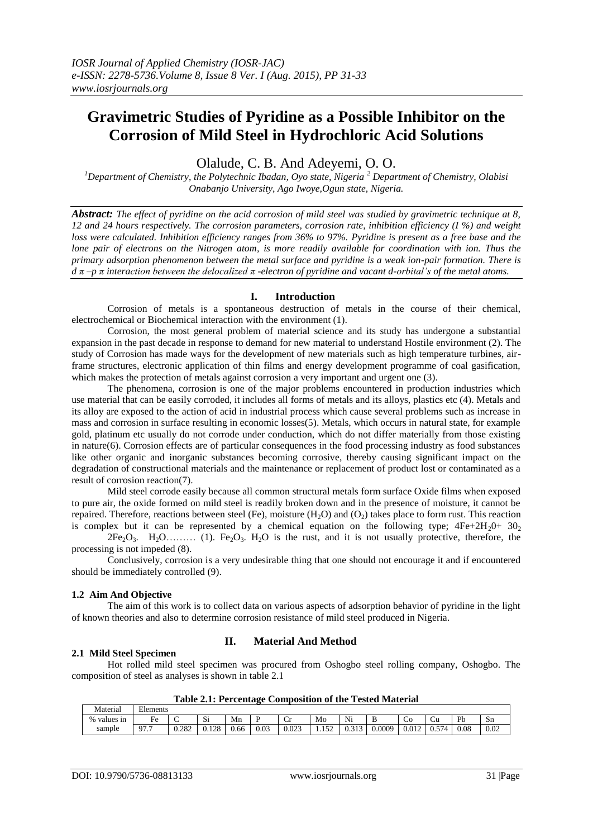# **Gravimetric Studies of Pyridine as a Possible Inhibitor on the Corrosion of Mild Steel in Hydrochloric Acid Solutions**

Olalude, C. B. And Adeyemi, O. O.

*<sup>1</sup>Department of Chemistry, the Polytechnic Ibadan, Oyo state, Nigeria <sup>2</sup> Department of Chemistry, Olabisi Onabanjo University, Ago Iwoye,Ogun state, Nigeria.*

*Abstract: The effect of pyridine on the acid corrosion of mild steel was studied by gravimetric technique at 8, 12 and 24 hours respectively. The corrosion parameters, corrosion rate, inhibition efficiency (I %) and weight loss were calculated. Inhibition efficiency ranges from 36% to 97%. Pyridine is present as a free base and the lone pair of electrons on the Nitrogen atom, is more readily available for coordination with ion. Thus the primary adsorption phenomenon between the metal surface and pyridine is a weak ion-pair formation. There is d π –p π interaction between the delocalized π -electron of pyridine and vacant d-orbital's of the metal atoms.*

#### **I. Introduction**

Corrosion of metals is a spontaneous destruction of metals in the course of their chemical, electrochemical or Biochemical interaction with the environment (1).

Corrosion, the most general problem of material science and its study has undergone a substantial expansion in the past decade in response to demand for new material to understand Hostile environment (2). The study of Corrosion has made ways for the development of new materials such as high temperature turbines, airframe structures, electronic application of thin films and energy development programme of coal gasification, which makes the protection of metals against corrosion a very important and urgent one  $(3)$ .

The phenomena, corrosion is one of the major problems encountered in production industries which use material that can be easily corroded, it includes all forms of metals and its alloys, plastics etc (4). Metals and its alloy are exposed to the action of acid in industrial process which cause several problems such as increase in mass and corrosion in surface resulting in economic losses(5). Metals, which occurs in natural state, for example gold, platinum etc usually do not corrode under conduction, which do not differ materially from those existing in nature(6). Corrosion effects are of particular consequences in the food processing industry as food substances like other organic and inorganic substances becoming corrosive, thereby causing significant impact on the degradation of constructional materials and the maintenance or replacement of product lost or contaminated as a result of corrosion reaction(7).

Mild steel corrode easily because all common structural metals form surface Oxide films when exposed to pure air, the oxide formed on mild steel is readily broken down and in the presence of moisture, it cannot be repaired. Therefore, reactions between steel (Fe), moisture  $(H_2O)$  and  $(O_2)$  takes place to form rust. This reaction is complex but it can be represented by a chemical equation on the following type;  $4Fe+2H<sub>2</sub>0+ 30<sub>2</sub>$ 

 $2Fe<sub>2</sub>O<sub>3</sub>$ . H<sub>2</sub>O … (1). Fe<sub>2</sub>O<sub>3</sub>. H<sub>2</sub>O is the rust, and it is not usually protective, therefore, the processing is not impeded (8).

Conclusively, corrosion is a very undesirable thing that one should not encourage it and if encountered should be immediately controlled (9).

## **1.2 Aim And Objective**

The aim of this work is to collect data on various aspects of adsorption behavior of pyridine in the light of known theories and also to determine corrosion resistance of mild steel produced in Nigeria.

#### **2.1 Mild Steel Specimen**

## **II. Material And Method**

Hot rolled mild steel specimen was procured from Oshogbo steel rolling company, Oshogbo. The composition of steel as analyses is shown in table 2.1

**Table 2.1: Percentage Composition of the Tested Material**

| Material       | $\mathbf{r}$<br>Elements |       |               |                      |           |       |              |                           |        |       |                  |      |      |
|----------------|--------------------------|-------|---------------|----------------------|-----------|-------|--------------|---------------------------|--------|-------|------------------|------|------|
| %<br>values in | $E_{\rm P}$<br>1 C       |       | $\sim$<br>٦ΟΙ | Mn                   |           | ◡     | Mo           | Ni                        |        | ັບ    | w                | Pb   | Sn   |
| sample         | $\Omega$<br>.            | 0.282 | 0.128         | $0<\epsilon$<br>0.66 | $_{0.03}$ | 0.023 | 152<br>1.104 | 0.10<br>$\upsilon$ .<br>. | J.0009 | 0.012 | $-$<br>14<br>∪.J | 0.08 | 0.02 |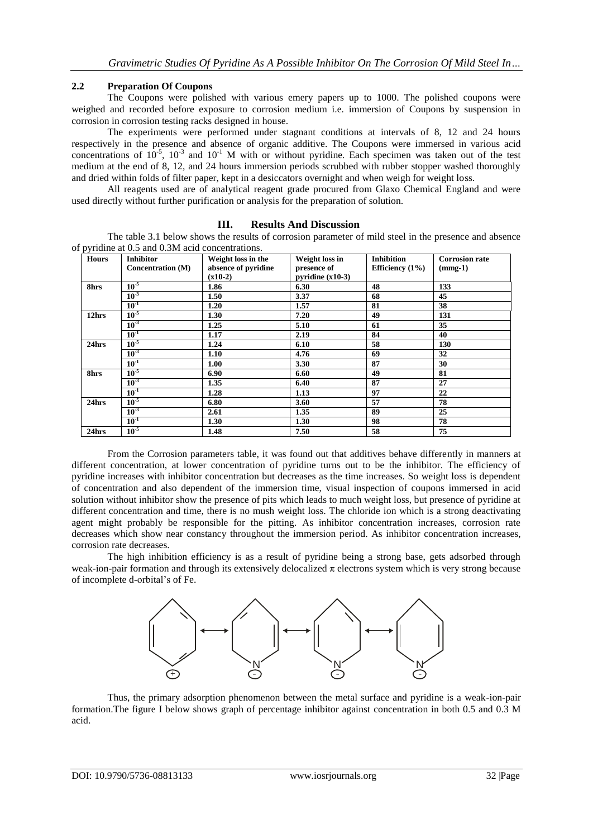## **2.2 Preparation Of Coupons**

The Coupons were polished with various emery papers up to 1000. The polished coupons were weighed and recorded before exposure to corrosion medium i.e. immersion of Coupons by suspension in corrosion in corrosion testing racks designed in house.

The experiments were performed under stagnant conditions at intervals of 8, 12 and 24 hours respectively in the presence and absence of organic additive. The Coupons were immersed in various acid concentrations of  $10^{-5}$ ,  $10^{-3}$  and  $10^{-1}$  M with or without pyridine. Each specimen was taken out of the test medium at the end of 8, 12, and 24 hours immersion periods scrubbed with rubber stopper washed thoroughly and dried within folds of filter paper, kept in a desiccators overnight and when weigh for weight loss.

All reagents used are of analytical reagent grade procured from Glaxo Chemical England and were used directly without further purification or analysis for the preparation of solution.

| pyridine at 0.5 and 0.3M acid concentrations. |                          |                     |                    |                    |                       |  |  |  |  |
|-----------------------------------------------|--------------------------|---------------------|--------------------|--------------------|-----------------------|--|--|--|--|
| <b>Hours</b>                                  | <b>Inhibitor</b>         | Weight loss in the  | Weight loss in     | <b>Inhibition</b>  | <b>Corrosion rate</b> |  |  |  |  |
|                                               | <b>Concentration (M)</b> | absence of pyridine | presence of        | Efficiency $(1\%)$ | $(mmg-1)$             |  |  |  |  |
|                                               |                          | $(x10-2)$           | pyridine $(x10-3)$ |                    |                       |  |  |  |  |
| 8hrs                                          | $10-5$                   | 1.86                | 6.30               | 48                 | 133                   |  |  |  |  |
|                                               | $10^{-3}$                | 1.50                | 3.37               | 68                 | 45                    |  |  |  |  |
|                                               | $10^{-1}$                | 1.20                | 1.57               | 81                 | 38                    |  |  |  |  |
| 12hrs                                         | $10-5$                   | 1.30                | 7.20               | 49                 | 131                   |  |  |  |  |
|                                               | 10 <sup>3</sup>          | 1.25                | 5.10               | 61                 | 35                    |  |  |  |  |
|                                               | $10^{-1}$                | 1.17                | 2.19               | 84                 | 40                    |  |  |  |  |
| 24hrs                                         | 10 <sup>5</sup>          | 1.24                | 6.10               | 58                 | 130                   |  |  |  |  |
|                                               | $10^{-3}$                | 1.10                | 4.76               | 69                 | 32                    |  |  |  |  |
|                                               | $10^{-1}$                | 1.00                | 3.30               | 87                 | 30                    |  |  |  |  |
| 8hrs                                          | $10-5$                   | 6.90                | 6.60               | 49                 | 81                    |  |  |  |  |
|                                               | $10^{-3}$                | 1.35                | 6.40               | 87                 | 27                    |  |  |  |  |
|                                               | $10^{-1}$                | 1.28                | 1.13               | 97                 | 22                    |  |  |  |  |
| 24hrs                                         | $10^{-5}$                | 6.80                | 3.60               | 57                 | 78                    |  |  |  |  |
|                                               | $10^{-3}$                | 2.61                | 1.35               | 89                 | 25                    |  |  |  |  |
|                                               | $10^{-1}$                | 1.30                | 1.30               | 98                 | 78                    |  |  |  |  |
| 24hrs                                         | $10-5$                   | 1.48                | 7.50               | 58                 | 75                    |  |  |  |  |

#### **III. Results And Discussion**

of pyridine at 0.5 and 0.3M acid concentrations.

The table 3.1 below shows the results of corrosion parameter of mild steel in the presence and absence

From the Corrosion parameters table, it was found out that additives behave differently in manners at different concentration, at lower concentration of pyridine turns out to be the inhibitor. The efficiency of pyridine increases with inhibitor concentration but decreases as the time increases. So weight loss is dependent of concentration and also dependent of the immersion time, visual inspection of coupons immersed in acid solution without inhibitor show the presence of pits which leads to much weight loss, but presence of pyridine at different concentration and time, there is no mush weight loss. The chloride ion which is a strong deactivating agent might probably be responsible for the pitting. As inhibitor concentration increases, corrosion rate decreases which show near constancy throughout the immersion period. As inhibitor concentration increases, corrosion rate decreases.

The high inhibition efficiency is as a result of pyridine being a strong base, gets adsorbed through weak-ion-pair formation and through its extensively delocalized  $\pi$  electrons system which is very strong because of incomplete d-orbital's of Fe.



Thus, the primary adsorption phenomenon between the metal surface and pyridine is a weak-ion-pair formation.The figure I below shows graph of percentage inhibitor against concentration in both 0.5 and 0.3 M acid.